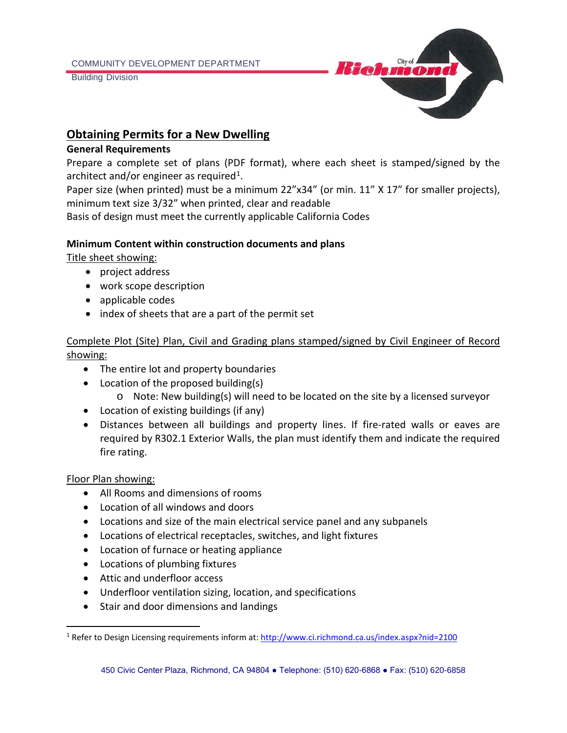Building Division



# **Obtaining Permits for a New Dwelling**

#### **General Requirements**

Prepare a complete set of plans (PDF format), where each sheet is stamped/signed by the architect and/or engineer as required<sup>1</sup>.

Paper size (when printed) must be a minimum 22"x34" (or min. 11" X 17" for smaller projects), minimum text size 3/32" when printed, clear and readable

Basis of design must meet the currently applicable California Codes

#### **Minimum Content within construction documents and plans**

Title sheet showing:

- project address
- work scope description
- applicable codes
- index of sheets that are a part of the permit set

### Complete Plot (Site) Plan, Civil and Grading plans stamped/signed by Civil Engineer of Record showing:

- The entire lot and property boundaries
- Location of the proposed building(s)
	- o Note: New building(s) will need to be located on the site by a licensed surveyor
- Location of existing buildings (if any)
- Distances between all buildings and property lines. If fire-rated walls or eaves are required by R302.1 Exterior Walls, the plan must identify them and indicate the required fire rating.

#### Floor Plan showing:

- All Rooms and dimensions of rooms
- Location of all windows and doors
- Locations and size of the main electrical service panel and any subpanels
- Locations of electrical receptacles, switches, and light fixtures
- Location of furnace or heating appliance
- Locations of plumbing fixtures
- Attic and underfloor access
- Underfloor ventilation sizing, location, and specifications
- Stair and door dimensions and landings

<span id="page-0-0"></span><sup>1</sup> Refer to Design Licensing requirements inform at[: http://www.ci.richmond.ca.us/index.aspx?nid=2100](http://www.ci.richmond.ca.us/index.aspx?nid=2100)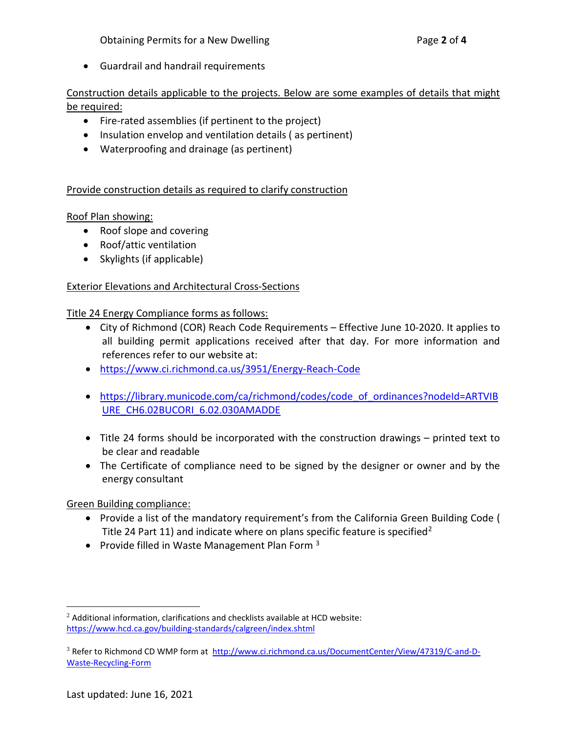• Guardrail and handrail requirements

# Construction details applicable to the projects. Below are some examples of details that might be required:

- Fire-rated assemblies (if pertinent to the project)
- Insulation envelop and ventilation details ( as pertinent)
- Waterproofing and drainage (as pertinent)

# Provide construction details as required to clarify construction

# Roof Plan showing:

- Roof slope and covering
- Roof/attic ventilation
- Skylights (if applicable)

# Exterior Elevations and Architectural Cross-Sections

### Title 24 Energy Compliance forms as follows:

- City of Richmond (COR) Reach Code Requirements Effective June 10-2020. It applies to all building permit applications received after that day. For more information and references refer to our website at:
- <https://www.ci.richmond.ca.us/3951/Energy-Reach-Code>
- [https://library.municode.com/ca/richmond/codes/code\\_of\\_ordinances?nodeId=ARTVIB](https://library.municode.com/ca/richmond/codes/code_of_ordinances?nodeId=ARTVIBURE_CH6.02BUCORI_6.02.030AMADDE) URE\_CH6.02BUCORI\_6.02.030AMADDE
- Title 24 forms should be incorporated with the construction drawings printed text to be clear and readable
- The Certificate of compliance need to be signed by the designer or owner and by the energy consultant

### Green Building compliance:

- Provide a list of the mandatory requirement's from the California Green Building Code ( Title [2](#page-1-0)4 Part 11) and indicate where on plans specific feature is specified<sup>2</sup>
- Provide filled in Waste Management Plan Form  $3$

<span id="page-1-0"></span> $2$  Additional information, clarifications and checklists available at HCD website: <https://www.hcd.ca.gov/building-standards/calgreen/index.shtml>

<span id="page-1-1"></span><sup>&</sup>lt;sup>3</sup> Refer to Richmond CD WMP form at [http://www.ci.richmond.ca.us/DocumentCenter/View/47319/C-and-D-](http://www.ci.richmond.ca.us/DocumentCenter/View/47319/C-and-D-Waste-Recycling-Form)[Waste-Recycling-Form](http://www.ci.richmond.ca.us/DocumentCenter/View/47319/C-and-D-Waste-Recycling-Form)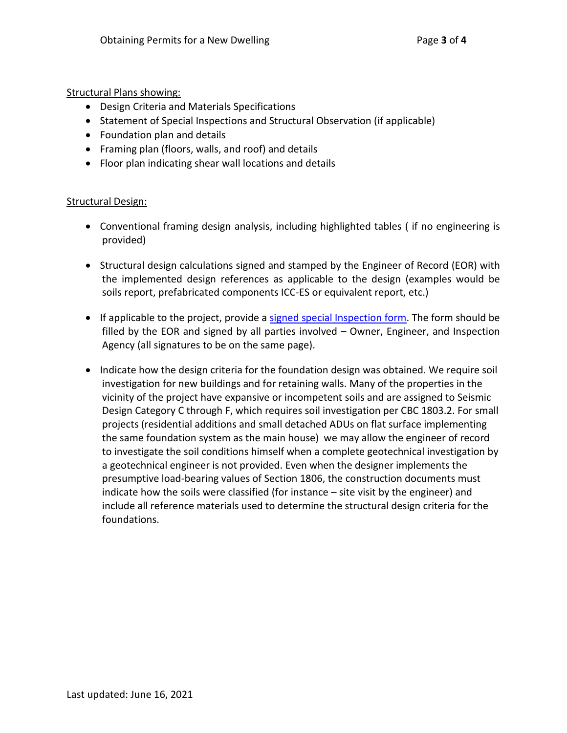Structural Plans showing:

- Design Criteria and Materials Specifications
- Statement of Special Inspections and Structural Observation (if applicable)
- Foundation plan and details
- Framing plan (floors, walls, and roof) and details
- Floor plan indicating shear wall locations and details

#### Structural Design:

- Conventional framing design analysis, including highlighted tables ( if no engineering is provided)
- Structural design calculations signed and stamped by the Engineer of Record (EOR) with the implemented design references as applicable to the design (examples would be soils report, prefabricated components ICC-ES or equivalent report, etc.)
- If applicable to the project, provide a [signed special Inspection form.](http://www.ci.richmond.ca.us/1276/Special-Inspections) The form should be filled by the EOR and signed by all parties involved – Owner, Engineer, and Inspection Agency (all signatures to be on the same page).
- Indicate how the design criteria for the foundation design was obtained. We require soil investigation for new buildings and for retaining walls. Many of the properties in the vicinity of the project have expansive or incompetent soils and are assigned to Seismic Design Category C through F, which requires soil investigation per CBC 1803.2. For small projects (residential additions and small detached ADUs on flat surface implementing the same foundation system as the main house) we may allow the engineer of record to investigate the soil conditions himself when a complete geotechnical investigation by a geotechnical engineer is not provided. Even when the designer implements the presumptive load-bearing values of Section 1806, the construction documents must indicate how the soils were classified (for instance – site visit by the engineer) and include all reference materials used to determine the structural design criteria for the foundations.